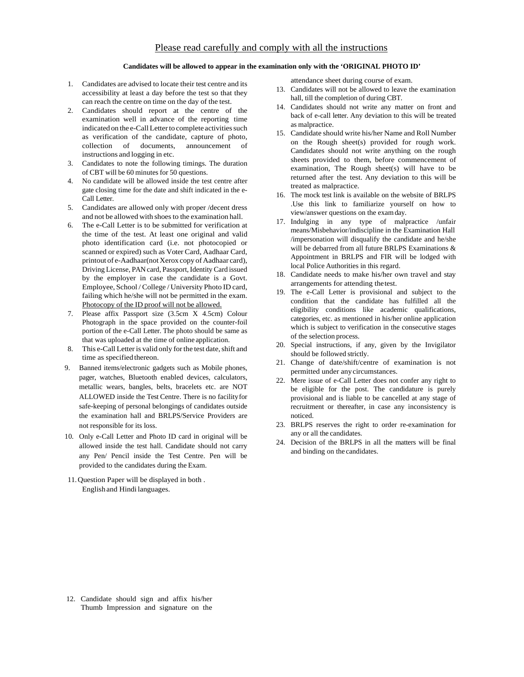## Please read carefully and comply with all the instructions

## **Candidates will be allowed to appear in the examination only with the 'ORIGINAL PHOTO ID'**

- 1. Candidates are advised to locate their test centre and its accessibility at least a day before the test so that they can reach the centre on time on the day of the test.
- 2. Candidates should report at the centre of the examination well in advance of the reporting time indicated on the e-Call Letter to complete activities such as verification of the candidate, capture of photo, collection of documents, announcement of instructions and logging in etc.
- 3. Candidates to note the following timings. The duration of CBT will be 60 minutes for 50 questions.
- 4. No candidate will be allowed inside the test centre after gate closing time for the date and shift indicated in the e-Call Letter.
- 5. Candidates are allowed only with proper /decent dress and not be allowed with shoes to the examination hall.
- 6. The e-Call Letter is to be submitted for verification at the time of the test. At least one original and valid photo identification card (i.e. not photocopied or scanned or expired) such as Voter Card, Aadhaar Card, printout of e-Aadhaar(not Xerox copy of Aadhaar card), Driving License, PAN card, Passport, Identity Card issued by the employer in case the candidate is a Govt. Employee, School / College / University Photo ID card, failing which he/she will not be permitted in the exam. Photocopy of the ID proof will not be allowed.
- 7. Please affix Passport size (3.5cm X 4.5cm) Colour Photograph in the space provided on the counter-foil portion of the e-Call Letter. The photo should be same as that was uploaded at the time of online application.
- 8. This e-Call Letter is valid only for the test date, shift and time as specified thereon.
- 9. Banned items/electronic gadgets such as Mobile phones, pager, watches, Bluetooth enabled devices, calculators, metallic wears, bangles, belts, bracelets etc. are NOT ALLOWED inside the Test Centre. There is no facility for safe-keeping of personal belongings of candidates outside the examination hall and BRLPS/Service Providers are not responsible for its loss.
- 10. Only e-Call Letter and Photo ID card in original will be allowed inside the test hall. Candidate should not carry any Pen/ Pencil inside the Test Centre. Pen will be provided to the candidates during the Exam.
- 11.Question Paper will be displayed in both . English and Hindi languages.

attendance sheet during course of exam.

- 13. Candidates will not be allowed to leave the examination hall, till the completion of during CBT.
- 14. Candidates should not write any matter on front and back of e-call letter. Any deviation to this will be treated as malpractice.
- 15. Candidate should write his/her Name and Roll Number on the Rough sheet(s) provided for rough work. Candidates should not write anything on the rough sheets provided to them, before commencement of examination, The Rough sheet(s) will have to be returned after the test. Any deviation to this will be treated as malpractice.
- 16. The mock test link is available on the website of BRLPS .Use this link to familiarize yourself on how to view/answer questions on the exam day.
- 17. Indulging in any type of malpractice /unfair means/Misbehavior/indiscipline in the Examination Hall /impersonation will disqualify the candidate and he/she will be debarred from all future BRLPS Examinations & Appointment in BRLPS and FIR will be lodged with local Police Authorities in this regard.
- 18. Candidate needs to make his/her own travel and stay arrangements for attending the test.
- 19. The e-Call Letter is provisional and subject to the condition that the candidate has fulfilled all the eligibility conditions like academic qualifications, categories, etc. as mentioned in his/her online application which is subject to verification in the consecutive stages of the selection process.
- 20. Special instructions, if any, given by the Invigilator should be followed strictly.
- 21. Change of date/shift/centre of examination is not permitted under any circumstances.
- 22. Mere issue of e-Call Letter does not confer any right to be eligible for the post. The candidature is purely provisional and is liable to be cancelled at any stage of recruitment or thereafter, in case any inconsistency is noticed.
- 23. BRLPS reserves the right to order re-examination for any or all the candidates.
- 24. Decision of the BRLPS in all the matters will be final and binding on the candidates.

12. Candidate should sign and affix his/her Thumb Impression and signature on the